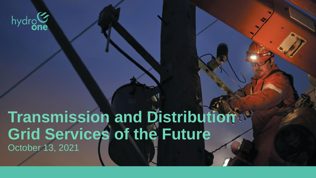

# **Transmission and Distribution Grid Services of the Future** October 13, 2021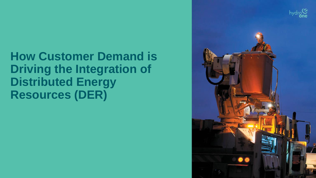## **How Customer Demand is Driving the Integration of Distributed Energy Resources (DER)**

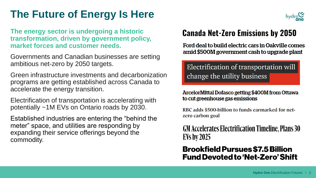### **The Future of Energy Is Here**

**The energy sector is undergoing a historic transformation, driven by government policy, market forces and customer needs.** 

Governments and Canadian businesses are setting ambitious net-zero by 2050 targets.

Green infrastructure investments and decarbonization programs are getting established across Canada to accelerate the energy transition.

Electrification of transportation is accelerating with potentially ~1M EVs on Ontario roads by 2030.

Established industries are entering the "behind the meter" space, and utilities are responding by expanding their service offerings beyond the commodity.



### **Canada Net-Zero Emissions by 2050**

Ford deal to build electric cars in Oakville comes amid \$500M government cash to upgrade plant

Electrification of transportation will change the utility business

#### ArcelorMittal Dofasco getting \$400M from Ottawa to cut greenhouse gas emissions

RBC adds \$500-billion to funds earmarked for netzero carbon goal

**GM Accelerates Electrification Timeline, Plans 30 EVs by 2025** 

### **Brookfield Pursues \$7.5 Billion Fund Devoted to 'Net-Zero' Shift**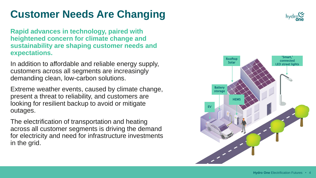### **Customer Needs Are Changing**

**Rapid advances in technology, paired with heightened concern for climate change and sustainability are shaping customer needs and expectations.**

In addition to affordable and reliable energy supply, customers across all segments are increasingly demanding clean, low-carbon solutions.

Extreme weather events, caused by climate change, present a threat to reliability, and customers are looking for resilient backup to avoid or mitigate outages.

The electrification of transportation and heating across all customer segments is driving the demand for electricity and need for infrastructure investments in the grid.



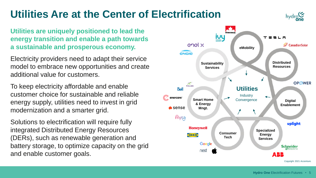### **Utilities Are at the Center of Electrification**

**Utilities are uniquely positioned to lead the energy transition and enable a path towards a sustainable and prosperous economy.**

Electricity providers need to adapt their service model to embrace new opportunities and create additional value for customers.

To keep electricity affordable and enable customer choice for sustainable and reliable energy supply, utilities need to invest in grid modernization and a smarter grid.

Solutions to electrification will require fully integrated Distributed Energy Resources (DERs), such as renewable generation and battery storage, to optimize capacity on the grid and enable customer goals.